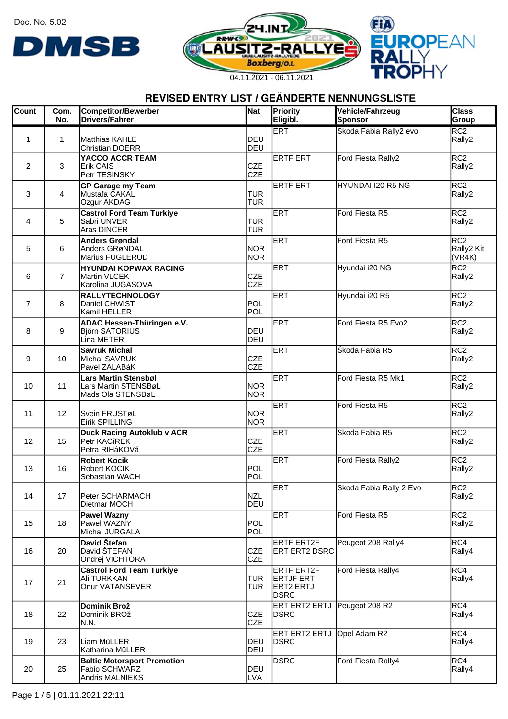Doc. No. 5.02







### **REVISED ENTRY LIST / GEÄNDERTE NENNUNGSLISTE**

| Count          | Com.<br>No.    | <b>Competitor/Bewerber</b><br><b>Drivers/Fahrer</b>                        | Nat                      | Priority<br>Eligibl.                                       | Vehicle/Fahrzeug<br>Sponsor | <b>Class</b><br>Group                   |
|----------------|----------------|----------------------------------------------------------------------------|--------------------------|------------------------------------------------------------|-----------------------------|-----------------------------------------|
| 1              | 1              | Matthias KAHLE<br><b>Christian DOERR</b>                                   | IDEU<br>DEU              | ERT                                                        | Skoda Fabia Rally2 evo      | RC2<br>Rally2                           |
| $\overline{2}$ | 3              | YACCO ACCR TEAM<br><b>Erik CAIS</b><br>Petr TESINSKY                       | <b>CZE</b><br><b>CZE</b> | <b>ERTF ERT</b>                                            | Ford Fiesta Rally2          | RC2<br>Rally2                           |
| 3              | 4              | <b>GP Garage my Team</b><br>Mustafa CAKAL<br>Ozgur AKDAG                   | <b>TUR</b><br><b>TUR</b> | <b>ERTF ERT</b>                                            | HYUNDAI I20 R5 NG           | RC2<br>Rally2                           |
| 4              | 5              | <b>Castrol Ford Team Turkiye</b><br>Sabri UNVER<br>Aras DINCER             | <b>TUR</b><br><b>TUR</b> | ERT                                                        | Ford Fiesta R5              | RC2<br>Rally2                           |
| 5              | 6              | <b>Anders Grøndal</b><br>Anders GRøNDAL<br>Marius FUGLERUD                 | <b>NOR</b><br><b>NOR</b> | ERT                                                        | Ford Fiesta R5              | RC <sub>2</sub><br>Rally2 Kit<br>(VR4K) |
| 6              | $\overline{7}$ | <b>HYUNDAI KOPWAX RACING</b><br>Martin VLCEK<br>Karolina JUGASOVA          | <b>CZE</b><br><b>CZE</b> | ERT                                                        | Hyundai i20 NG              | RC2<br>Rally2                           |
| $\overline{7}$ | 8              | <b>RALLYTECHNOLOGY</b><br>Daniel CHWIST<br>Kamil HELLER                    | POL<br>POL               | ERT                                                        | Hyundai i20 R5              | RC2<br>Rally2                           |
| 8              | 9              | ADAC Hessen-Thüringen e.V.<br><b>Björn SATORIUS</b><br>Lina METER          | DEU<br>DEU               | ERT                                                        | Ford Fiesta R5 Evo2         | RC <sub>2</sub><br>Rally2               |
| 9              | 10             | <b>Savruk Michal</b><br>Michal SAVRUK<br>Pavel ZALABáK                     | <b>CZE</b><br><b>CZE</b> | ERT                                                        | Škoda Fabia R5              | RC <sub>2</sub><br>Rally2               |
| 10             | 11             | <b>Lars Martin Stensbøl</b><br>Lars Martin STENSBøL<br>Mads Ola STENSBøL   | <b>NOR</b><br><b>NOR</b> | ERT                                                        | Ford Fiesta R5 Mk1          | RC2<br>Rally2                           |
| 11             | 12             | Svein FRUSTøL<br>Eirik SPILLING                                            | <b>NOR</b><br><b>NOR</b> | ERT                                                        | Ford Fiesta R5              | RC <sub>2</sub><br>Rally2               |
| 12             | 15             | <b>Duck Racing Autoklub v ACR</b><br><b>Petr KACíREK</b><br>Petra RIHáKOVá | <b>CZE</b><br><b>CZE</b> | ERT                                                        | Škoda Fabia R5              | RC <sub>2</sub><br>Rally2               |
| 13             | 16             | <b>Robert Kocik</b><br>Robert KOCIK<br>Sebastian WACH                      | POL<br>POL               | <b>ERT</b>                                                 | Ford Fiesta Rally2          | RC <sub>2</sub><br>Rally2               |
| 14             | 17             | Peter SCHARMACH<br>Dietmar MOCH                                            | <b>NZL</b><br>DEU        | ERT                                                        | Skoda Fabia Rally 2 Evo     | RC2<br>Rally2                           |
| 15             | 18             | <b>Pawel Wazny</b><br>Pawel WAZNY<br>Michal JURGALA                        | POL<br>POL               | ERT                                                        | Ford Fiesta R5              | RC2<br>Rally2                           |
| 16             | 20             | David Štefan<br>David ŠTEFAN<br>Ondrej VICHTORA                            | <b>CZE</b><br><b>CZE</b> | <b>ERTF ERT2F</b><br>ERT ERT2 DSRC                         | Peugeot 208 Rally4          | RC4 <br>Rally4                          |
| 17             | 21             | <b>Castrol Ford Team Turkiye</b><br>Ali TURKKAN<br>Onur VATANSEVER         | <b>TUR</b><br><b>TUR</b> | ERTF ERT2F<br><b>ERTJF ERT</b><br><b>ERT2 ERTJ</b><br>DSRC | Ford Fiesta Rally4          | RC4 <br>Rally4                          |
| 18             | 22             | Dominik Brož<br>Dominik BROž<br>N.N.                                       | <b>CZE</b><br><b>CZE</b> | ERT ERT2 ERTJ Peugeot 208 R2<br><b>DSRC</b>                |                             | RC4 <br>Rally4                          |
| 19             | 23             | Liam MüLLER<br>Katharina MüLLER                                            | DEU<br>DEU               | ERT ERT2 ERTJ Opel Adam R2<br>DSRC                         |                             | RC4 <br>Rally4                          |
| 20             | 25             | <b>Baltic Motorsport Promotion</b><br>Fabio SCHWARZ<br>Andris MALNIEKS     | DEU<br><b>LVA</b>        | <b>DSRC</b>                                                | Ford Fiesta Rally4          | RC4<br>Rally4                           |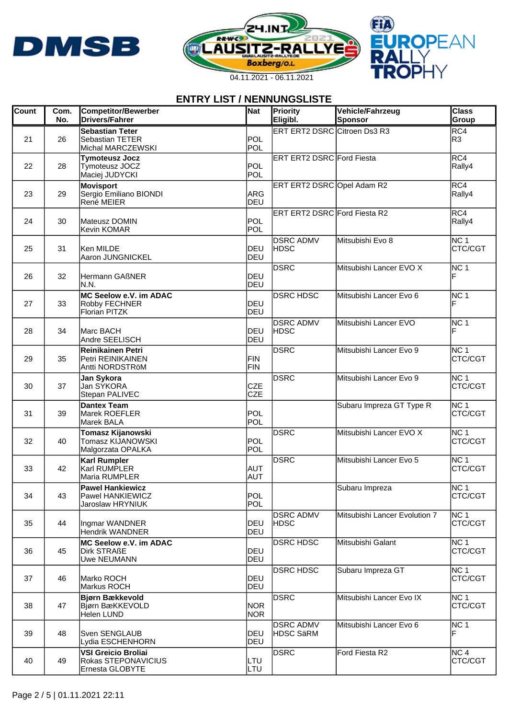





| <b>Count</b> | Com.<br>No. | <b>Competitor/Bewerber</b><br><b>Drivers/Fahrer</b>                  | Nat                      | Priority<br>Eligibl.                 | Vehicle/Fahrzeug<br><b>Sponsor</b> | <b>Class</b><br>Group      |
|--------------|-------------|----------------------------------------------------------------------|--------------------------|--------------------------------------|------------------------------------|----------------------------|
| 21           | 26          | <b>Sebastian Teter</b><br>Sebastian TETER<br>Michal MARCZEWSKI       | POL<br>POL               | ERT ERT2 DSRC Citroen Ds3 R3         |                                    | RC4<br>R3                  |
| 22           | 28          | <b>Tymoteusz Jocz</b><br>Tymoteusz JOCZ<br>Maciej JUDYCKI            | POL<br>POL               | <b>ERT ERT2 DSRC</b> Ford Fiesta     |                                    | RC4<br>Rally4              |
| 23           | 29          | <b>Movisport</b><br>Sergio Emiliano BIONDI<br>René MEIER             | <b>ARG</b><br>DEU        | ERT ERT2 DSRC Opel Adam R2           |                                    | RC4<br>Rally4              |
| 24           | 30          | Mateusz DOMIN<br><b>Kevin KOMAR</b>                                  | <b>POL</b><br>POL        | ERT ERT2 DSRC Ford Fiesta R2         |                                    | RC4<br>Rally4              |
| 25           | 31          | Ken MILDE<br>Aaron JUNGNICKEL                                        | DEU<br>IDEU              | <b>DSRC ADMV</b><br> HDSC            | Mitsubishi Evo 8                   | NC 1<br>CTC/CGT            |
| 26           | 32          | Hermann GAßNER<br>N.N.                                               | IDEU<br>DEU              | DSRC                                 | Mitsubishi Lancer EVO X            | NC 1<br>F                  |
| 27           | 33          | MC Seelow e.V. im ADAC<br>Robby FECHNER<br>Florian PITZK             | DEU<br>DEU               | <b>DSRC HDSC</b>                     | Mitsubishi Lancer Evo 6            | NC 1<br>F                  |
| 28           | 34          | Marc BACH<br>Andre SEELISCH                                          | DEU<br>DEU               | <b>DSRC ADMV</b><br> HDSC            | Mitsubishi Lancer EVO              | NC 1<br>F                  |
| 29           | 35          | <b>Reinikainen Petri</b><br>Petri REINIKAINEN<br>Antti NORDSTRöM     | FIN<br>FIN               | <b>DSRC</b>                          | Mitsubishi Lancer Evo 9            | NC 1<br>CTC/CGT            |
| 30           | 37          | Jan Sykora<br>Jan SYKORA<br>Stepan PALIVEC                           | <b>CZE</b><br><b>CZE</b> | <b>DSRC</b>                          | Mitsubishi Lancer Evo 9            | NC 1<br>CTC/CGT            |
| 31           | 39          | <b>Dantex Team</b><br>Marek ROEFLER<br>Marek BALA                    | POL<br>POL               |                                      | Subaru Impreza GT Type R           | NC 1<br>CTC/CGT            |
| 32           | 40          | Tomasz Kijanowski<br>Tomasz KIJANOWSKI<br>Malgorzata OPALKA          | POL<br>POL               | <b>DSRC</b>                          | Mitsubishi Lancer EVO X            | NC 1<br>CTC/CGT            |
| 33           | 42          | <b>Karl Rumpler</b><br>Karl RUMPLER<br>Maria RUMPLER                 | <b>AUT</b><br><b>AUT</b> | DSRC                                 | Mitsubishi Lancer Evo 5            | INC 1<br>CTC/CGT           |
| 34           | 43          | <b>Pawel Hankiewicz</b><br>Pawel HANKIEWICZ<br>Jaroslaw HRYNIUK      | POL<br>POL               |                                      | Subaru Impreza                     | INC 1<br>CTC/CGT           |
| 35           | 44          | Ingmar WANDNER<br><b>Hendrik WANDNER</b>                             | IDEU<br>DEU              | <b>DSRC ADMV</b><br><b>IHDSC</b>     | Mitsubishi Lancer Evolution 7      | NC 1<br>CTC/CGT            |
| 36           | 45          | MC Seelow e.V. im ADAC<br>Dirk STRAßE<br>Uwe NEUMANN                 | DEU<br><b>DEU</b>        | <b>DSRC HDSC</b>                     | Mitsubishi Galant                  | NC 1<br>CTC/CGT            |
| 37           | 46          | Marko ROCH<br>Markus ROCH                                            | IDEU<br>DEU              | <b>DSRC HDSC</b>                     | Subaru Impreza GT                  | NC 1<br>CTC/CGT            |
| 38           | 47          | Bjørn Bækkevold<br>Bjørn BæKKEVOLD<br>Helen LUND                     | <b>NOR</b><br><b>NOR</b> | <b>DSRC</b>                          | Mitsubishi Lancer Evo IX           | NC <sub>1</sub><br>CTC/CGT |
| 39           | 48          | Sven SENGLAUB<br>Lydia ESCHENHORN                                    | DEU<br>IDEU              | <b>DSRC ADMV</b><br><b>HDSC SäRM</b> | Mitsubishi Lancer Evo 6            | NC 1<br>IF                 |
| 40           | 49          | <b>VSI Greicio Broliai</b><br>Rokas STEPONAVICIUS<br>Ernesta GLOBYTE | ILTU<br>LTU              | <b>DSRC</b>                          | Ford Fiesta R2                     | NC 4<br>CTC/CGT            |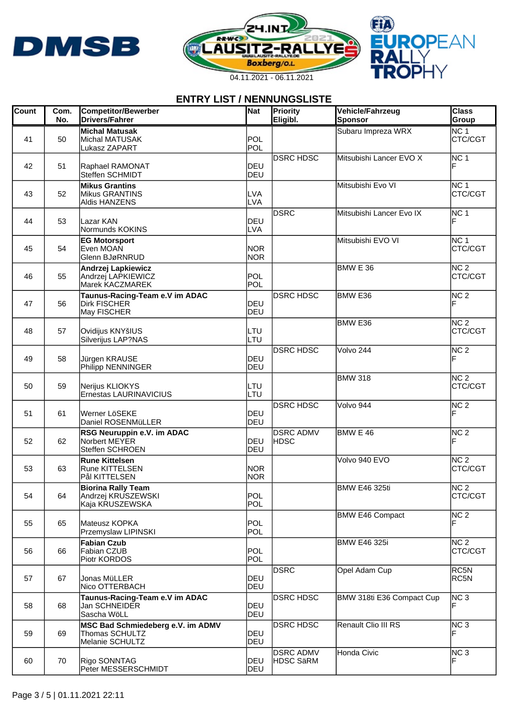





| <b>Count</b> | Com.<br>No. | <b>Competitor/Bewerber</b><br><b>Drivers/Fahrer</b>                    | Nat                      | Priority<br>Eligibl.                 | Vehicle/Fahrzeug<br>Sponsor | <b>Class</b><br>Group      |
|--------------|-------------|------------------------------------------------------------------------|--------------------------|--------------------------------------|-----------------------------|----------------------------|
| 41           | 50          | <b>Michal Matusak</b><br>Michal MATUSAK<br>Lukasz ZAPART               | POL<br>POL               |                                      | Subaru Impreza WRX          | NC <sub>1</sub><br>CTC/CGT |
| 42           | 51          | Raphael RAMONAT<br>Steffen SCHMIDT                                     | DEU<br>IDEU              | <b>DSRC HDSC</b>                     | Mitsubishi Lancer EVO X     | NC 1<br>F                  |
| 43           | 52          | <b>Mikus Grantins</b><br><b>Mikus GRANTINS</b><br>Aldis HANZENS        | <b>LVA</b><br><b>LVA</b> |                                      | Mitsubishi Evo VI           | NC 1<br>CTC/CGT            |
| 44           | 53          | Lazar KAN<br>Normunds KOKINS                                           | IDEU<br><b>LVA</b>       | <b>DSRC</b>                          | Mitsubishi Lancer Evo IX    | NC <sub>1</sub><br>F       |
| 45           | 54          | <b>EG Motorsport</b><br>Even MOAN<br>Glenn BJøRNRUD                    | <b>NOR</b><br><b>NOR</b> |                                      | Mitsubishi EVO VI           | NC 1<br>CTC/CGT            |
| 46           | 55          | <b>Andrzej Lapkiewicz</b><br>Andrzei LAPKIEWICZ<br>Marek KACZMAREK     | POL<br>POL               |                                      | BMW E 36                    | NC 2<br>CTC/CGT            |
| 47           | 56          | Taunus-Racing-Team e.V im ADAC<br><b>Dirk FISCHER</b><br>May FISCHER   | DEU<br>DEU               | <b>DSRC HDSC</b>                     | BMW <sub>E36</sub>          | NC <sub>2</sub>            |
| 48           | 57          | Ovidijus KNYšIUS<br>Silverijus LAP?NAS                                 | LTU<br>LTU               |                                      | BMW E36                     | NC <sub>2</sub><br>CTC/CGT |
| 49           | 58          | Jürgen KRAUSE<br>Philipp NENNINGER                                     | IDEU<br>DEU              | <b>DSRC HDSC</b>                     | Volvo 244                   | NC <sub>2</sub><br>F       |
| 50           | 59          | Nerijus KLIOKYS<br>Ernestas LAURINAVICIUS                              | LTU<br>LTU               |                                      | <b>BMW 318</b>              | NC <sub>2</sub><br>CTC/CGT |
| 51           | 61          | Werner LöSEKE<br>Daniel ROSENMüLLER                                    | DEU<br>DEU               | <b>DSRC HDSC</b>                     | Volvo 944                   | NC <sub>2</sub><br>F       |
| 52           | 62          | RSG Neuruppin e.V. im ADAC<br>Norbert MEYER<br>Steffen SCHROEN         | DEU<br>DEU               | <b>DSRC ADMV</b><br>HDSC             | BMW E 46                    | NC <sub>2</sub><br>F       |
| 53           | 63          | <b>Rune Kittelsen</b><br><b>Rune KITTELSEN</b><br>Pål KITTELSEN        | <b>NOR</b><br><b>NOR</b> |                                      | Volvo 940 EVO               | NC <sub>2</sub><br>CTC/CGT |
| 54           | 64          | <b>Biorina Rally Team</b><br>Andrzej KRUSZEWSKI<br>Kaja KRUSZEWSKA     | POL<br>POL               |                                      | <b>BMW E46 325ti</b>        | NC <sub>2</sub><br>CTC/CGT |
| 55           | 65          | Mateusz KOPKA<br>Przemyslaw LIPINSKI                                   | <b>POL</b><br>POL        |                                      | BMW E46 Compact             | NC <sub>2</sub><br>F       |
| 56           | 66          | <b>Fabian Czub</b><br>Fabian CZUB<br>Piotr KORDOS                      | POL<br>POL               |                                      | <b>BMW E46 325i</b>         | NC 2<br>CTC/CGT            |
| 57           | 67          | Jonas MüLLER<br>Nico OTTERBACH                                         | IDEU<br>DEU              | DSRC                                 | Opel Adam Cup               | RC5N<br>RC5N               |
| 58           | 68          | Taunus-Racing-Team e.V im ADAC<br>Jan SCHNEIDER<br>Sascha WöLL         | DEU<br>DEU               | <b>DSRC HDSC</b>                     | BMW 318ti E36 Compact Cup   | NC <sub>3</sub><br>F       |
| 59           | 69          | MSC Bad Schmiedeberg e.V. im ADMV<br>Thomas SCHULTZ<br>Melanie SCHULTZ | DEU<br>DEU               | <b>DSRC HDSC</b>                     | Renault Clio III RS         | NC 3<br>F                  |
| 60           | 70          | Rigo SONNTAG<br>Peter MESSERSCHMIDT                                    | IDEU<br>DEU              | <b>DSRC ADMV</b><br><b>HDSC SäRM</b> | Honda Civic                 | NC 3<br>F                  |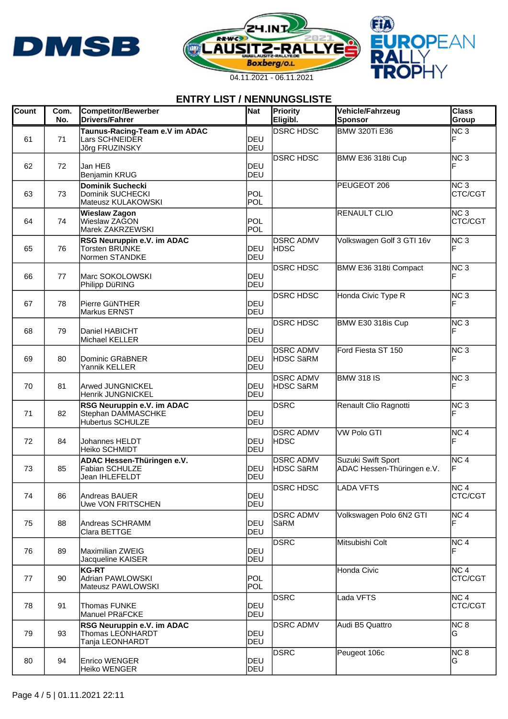





| <b>Count</b> | Com.<br>No. | <b>Competitor/Bewerber</b><br><b>Drivers/Fahrer</b>                   | Nat                 | Priority<br>Eligibl.                 | Vehicle/Fahrzeug<br>Sponsor                      | <b>Class</b><br>Group      |
|--------------|-------------|-----------------------------------------------------------------------|---------------------|--------------------------------------|--------------------------------------------------|----------------------------|
| 61           | 71          | Taunus-Racing-Team e.V im ADAC<br>Lars SCHNEIDER<br>Jõrg FRUZINSKY    | <b>IDEU</b><br>DEU  | <b>DSRC HDSC</b>                     | <b>BMW 320Ti E36</b>                             | NC <sub>3</sub>            |
| 62           | 72          | Jan HEß<br>Benjamin KRUG                                              | DEU<br>DEU          | <b>DSRC HDSC</b>                     | BMW E36 318ti Cup                                | NC <sub>3</sub>            |
| 63           | 73          | <b>Dominik Suchecki</b><br>Dominik SUCHECKI<br>Mateusz KULAKOWSKI     | POL<br>POL          |                                      | PEUGEOT 206                                      | NC <sub>3</sub><br>CTC/CGT |
| 64           | 74          | <b>Wieslaw Zagon</b><br>Wieslaw ZAGON<br>Marek ZAKRZEWSKI             | POL<br>POL          |                                      | <b>RENAULT CLIO</b>                              | NC <sub>3</sub><br>CTC/CGT |
| 65           | 76          | RSG Neuruppin e.V. im ADAC<br><b>Torsten BRUNKE</b><br>Normen STANDKE | DEU<br>DEU          | <b>DSRC ADMV</b><br><b>HDSC</b>      | Volkswagen Golf 3 GTI 16v                        | NC <sub>3</sub>            |
| 66           | 77          | Marc SOKOLOWSKI<br>Philipp DüRING                                     | DEU<br>DEU          | <b>DSRC HDSC</b>                     | BMW E36 318ti Compact                            | NC <sub>3</sub>            |
| 67           | 78          | Pierre GüNTHER<br><b>Markus ERNST</b>                                 | DEU<br>DEU          | <b>DSRC HDSC</b>                     | Honda Civic Type R                               | NC <sub>3</sub>            |
| 68           | 79          | Daniel HABICHT<br>Michael KELLER                                      | DEU<br>DEU          | <b>DSRC HDSC</b>                     | BMW E30 318is Cup                                | NC <sub>3</sub>            |
| 69           | 80          | Dominic GRäBNER<br>Yannik KELLER                                      | IDEU<br><b>IDEU</b> | <b>DSRC ADMV</b><br><b>HDSC SäRM</b> | Ford Fiesta ST 150                               | NC <sub>3</sub>            |
| 70           | 81          | <b>Arwed JUNGNICKEL</b><br>Henrik JUNGNICKEL                          | DEU<br>DEU          | <b>DSRC ADMV</b><br><b>HDSC SäRM</b> | <b>BMW 318 IS</b>                                | NC <sub>3</sub>            |
| 71           | 82          | RSG Neuruppin e.V. im ADAC<br>Stephan DAMMASCHKE<br>Hubertus SCHULZE  | DEU<br>DEU          | DSRC                                 | Renault Clio Ragnotti                            | NC <sub>3</sub>            |
| 72           | 84          | <b>Johannes HELDT</b><br>Heiko SCHMIDT                                | DEU<br><b>IDEU</b>  | <b>DSRC ADMV</b><br><b>HDSC</b>      | <b>VW Polo GTI</b>                               | NC <sub>4</sub><br>F       |
| 73           | 85          | ADAC Hessen-Thüringen e.V.<br>Fabian SCHULZE<br>Jean IHLEFELDT        | <b>IDEU</b><br>DEU  | <b>DSRC ADMV</b><br><b>HDSC SäRM</b> | Suzuki Swift Sport<br>ADAC Hessen-Thüringen e.V. | NC <sub>4</sub>            |
| 74           | 86          | Andreas BAUER<br>Uwe VON FRITSCHEN                                    | DEU<br>DEU          | <b>DSRC HDSC</b>                     | LADA VFTS                                        | INC 4<br>CTC/CGT           |
| 75           | 88          | Andreas SCHRAMM<br>Clara BETTGE                                       | DEU<br>DEU          | <b>DSRC ADMV</b><br>SäRM             | Volkswagen Polo 6N2 GTI                          | NC <sub>4</sub>            |
| 76           | 89          | Maximilian ZWEIG<br>Jacqueline KAISER                                 | DEU<br>DEU          | <b>DSRC</b>                          | Mitsubishi Colt                                  | NC <sub>4</sub><br>F       |
| 77           | 90          | <b>KG-RT</b><br>Adrian PAWLOWSKI<br>Mateusz PAWLOWSKI                 | POL<br>POL          |                                      | Honda Civic                                      | NC <sub>4</sub><br>CTC/CGT |
| 78           | 91          | <b>Thomas FUNKE</b><br>Manuel PRäFCKE                                 | DEU<br>DEU          | <b>DSRC</b>                          | Lada VFTS                                        | NC <sub>4</sub><br>CTC/CGT |
| 79           | 93          | RSG Neuruppin e.V. im ADAC<br>Thomas LEONHARDT<br>Tanja LEONHARDT     | DEU<br>DEU          | <b>DSRC ADMV</b>                     | Audi B5 Quattro                                  | NC 8<br>IG.                |
| 80           | 94          | <b>Enrico WENGER</b><br>Heiko WENGER                                  | IDEU<br>DEU         | DSRC                                 | Peugeot 106c                                     | NC <sub>8</sub><br>G       |